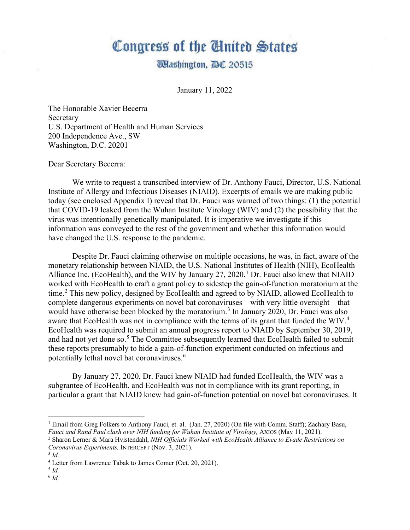# Congress of the United States

# **Udashington, DC 20515**

January 11, 2022

The Honorable Xavier Becerra Secretary U.S. Department of Health and Human Services 200 Independence Ave., SW Washington, D.C. 20201

Dear Secretary Becerra:

We write to request a transcribed interview of Dr. Anthony Fauci, Director, U.S. National Institute of Allergy and Infectious Diseases (NIAID). Excerpts of emails we are making public today (see enclosed Appendix I) reveal that Dr. Fauci was warned of two things: (1) the potential that COVID-19 leaked from the Wuhan Institute Virology (WIV) and (2) the possibility that the virus was intentionally genetically manipulated. It is imperative we investigate if this information was conveyed to the rest of the government and whether this information would have changed the U.S. response to the pandemic.

Despite Dr. Fauci claiming otherwise on multiple occasions, he was, in fact, aware of the monetary relationship between NIAID, the U.S. National Institutes of Health (NIH), EcoHealth Alliance Inc. (EcoHealth), and the WIV by January  $27, 2020$ .<sup>[1](#page-0-0)</sup> Dr. Fauci also knew that NIAID worked with EcoHealth to craft a grant policy to sidestep the gain-of-function moratorium at the time.<sup>[2](#page-0-1)</sup> This new policy, designed by EcoHealth and agreed to by NIAID, allowed EcoHealth to complete dangerous experiments on novel bat coronaviruses—with very little oversight—that would have otherwise been blocked by the moratorium.<sup>[3](#page-0-2)</sup> In January 2020, Dr. Fauci was also aware that EcoHealth was not in compliance with the terms of its grant that funded the WIV.<sup>[4](#page-0-3)</sup> EcoHealth was required to submit an annual progress report to NIAID by September 30, 2019, and had not yet done so.<sup>[5](#page-0-4)</sup> The Committee subsequently learned that EcoHealth failed to submit these reports presumably to hide a gain-of-function experiment conducted on infectious and potentially lethal novel bat coronaviruses.[6](#page-0-5)

By January 27, 2020, Dr. Fauci knew NIAID had funded EcoHealth, the WIV was a subgrantee of EcoHealth, and EcoHealth was not in compliance with its grant reporting, in particular a grant that NIAID knew had gain-of-function potential on novel bat coronaviruses. It

<span id="page-0-0"></span><sup>&</sup>lt;sup>1</sup> Email from Greg Folkers to Anthony Fauci, et. al. (Jan. 27, 2020) (On file with Comm. Staff); Zachary Basu, *Fauci and Rand Paul clash over NIH funding for Wuhan Institute of Virology*, AXIOS (May 11, 2021).

<span id="page-0-1"></span><sup>&</sup>lt;sup>2</sup> Sharon Lerner & Mara Hyistendahl, NIH Officials Worked with EcoHealth Alliance to Evade Restrictions on *Coronavirus Experiments,* INTERCEPT (Nov. 3, 2021). 3 *Id.* 

<span id="page-0-2"></span>

<span id="page-0-3"></span><sup>4</sup> Letter from Lawrence Tabak to James Comer (Oct. 20, 2021).

<span id="page-0-4"></span> $^5$  *Id.* 

<span id="page-0-5"></span> $6$   $Id.$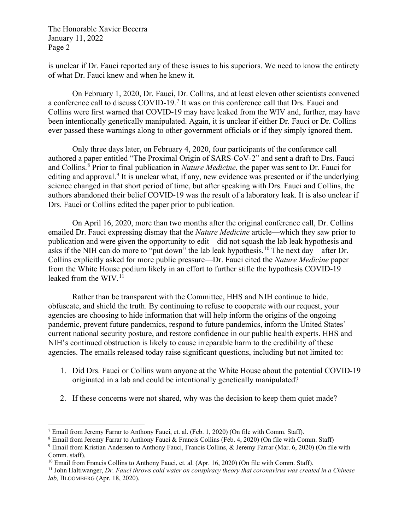The Honorable Xavier Becerra January 11, 2022 Page 2

is unclear if Dr. Fauci reported any of these issues to his superiors. We need to know the entirety of what Dr. Fauci knew and when he knew it.

On February 1, 2020, Dr. Fauci, Dr. Collins, and at least eleven other scientists convened a conference call to discuss COVID-19.<sup>[7](#page-1-0)</sup> It was on this conference call that Drs. Fauci and Collins were first warned that COVID-19 may have leaked from the WIV and, further, may have been intentionally genetically manipulated. Again, it is unclear if either Dr. Fauci or Dr. Collins ever passed these warnings along to other government officials or if they simply ignored them.

Only three days later, on February 4, 2020, four participants of the conference call authored a paper entitled "The Proximal Origin of SARS-CoV-2" and sent a draft to Drs. Fauci and Collins.[8](#page-1-1) Prior to final publication in *Nature Medicine*, the paper was sent to Dr. Fauci for editing and approval.<sup>[9](#page-1-2)</sup> It is unclear what, if any, new evidence was presented or if the underlying science changed in that short period of time, but after speaking with Drs. Fauci and Collins, the authors abandoned their belief COVID-19 was the result of a laboratory leak. It is also unclear if Drs. Fauci or Collins edited the paper prior to publication.

On April 16, 2020, more than two months after the original conference call, Dr. Collins emailed Dr. Fauci expressing dismay that the *Nature Medicine* article—which they saw prior to publication and were given the opportunity to edit—did not squash the lab leak hypothesis and asks if the NIH can do more to "put down" the lab leak hypothesis.[10](#page-1-3) The next day—after Dr. Collins explicitly asked for more public pressure—Dr. Fauci cited the *Nature Medicine* paper from the White House podium likely in an effort to further stifle the hypothesis COVID-19 leaked from the WIV. [11](#page-1-4)

Rather than be transparent with the Committee, HHS and NIH continue to hide, obfuscate, and shield the truth. By continuing to refuse to cooperate with our request, your agencies are choosing to hide information that will help inform the origins of the ongoing pandemic, prevent future pandemics, respond to future pandemics, inform the United States' current national security posture, and restore confidence in our public health experts. HHS and NIH's continued obstruction is likely to cause irreparable harm to the credibility of these agencies. The emails released today raise significant questions, including but not limited to:

- 1. Did Drs. Fauci or Collins warn anyone at the White House about the potential COVID-19 originated in a lab and could be intentionally genetically manipulated?
- 2. If these concerns were not shared, why was the decision to keep them quiet made?

<span id="page-1-1"></span><span id="page-1-0"></span><sup>7</sup> Email from Jeremy Farrar to Anthony Fauci, et. al. (Feb. 1, 2020) (On file with Comm. Staff).<br><sup>8</sup> Email from Jeremy Farrar to Anthony Fauci & Francis Collins (Feb. 4, 2020) (On file with Comm. Staff)<br><sup>9</sup> Email from Kr

<span id="page-1-2"></span>Comm. staff).<br><sup>10</sup> Email from Francis Collins to Anthony Fauci, et. al. (Apr. 16, 2020) (On file with Comm. Staff).

<span id="page-1-4"></span><span id="page-1-3"></span> $^{11}$  John Haltiwanger, Dr. Fauci throws cold water on conspiracy theory that coronavirus was created in a Chinese *lab,* BLOOMBERG (Apr. 18, 2020).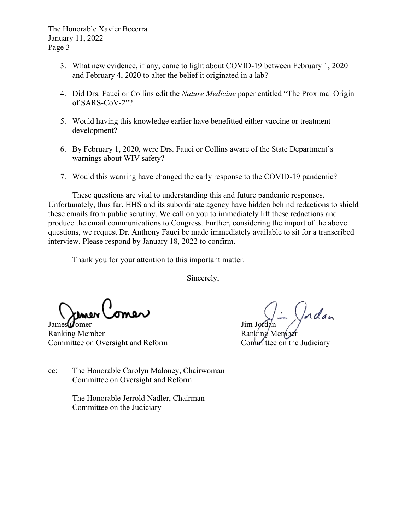The Honorable Xavier Becerra January 11, 2022 Page 3

- 3. What new evidence, if any, came to light about COVID-19 between February 1, 2020 and February 4, 2020 to alter the belief it originated in a lab?
- 4. Did Drs. Fauci or Collins edit the *Nature Medicine* paper entitled "The Proximal Origin of SARS-CoV-2"?
- 5. Would having this knowledge earlier have benefitted either vaccine or treatment development?
- 6. By February 1, 2020, were Drs. Fauci or Collins aware of the State Department's warnings about WIV safety?
- 7. Would this warning have changed the early response to the COVID-19 pandemic?

These questions are vital to understanding this and future pandemic responses. Unfortunately, thus far, HHS and its subordinate agency have hidden behind redactions to shield these emails from public scrutiny. We call on you to immediately lift these redactions and produce the email communications to Congress. Further, considering the import of the above questions, we request Dr. Anthony Fauci be made immediately available to sit for a transcribed interview. Please respond by January 18, 2022 to confirm.

Thank you for your attention to this important matter.

Sincerely,

 $\setminus$  khow comer

James **Comer** Jim Jordan Ranking Member Ranking Member Committee on Oversight and Reform Committee on the Judiciary

cc: The Honorable Carolyn Maloney, Chairwoman Committee on Oversight and Reform

> The Honorable Jerrold Nadler, Chairman Committee on the Judiciary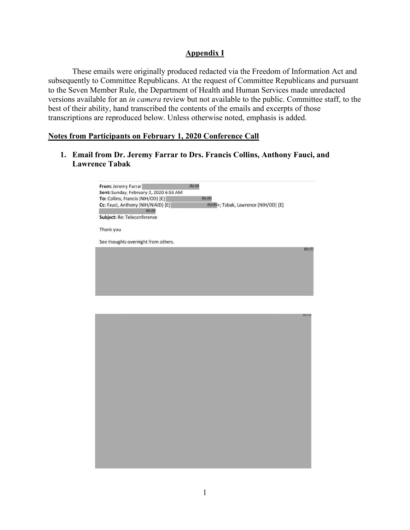# **Appendix I**

These emails were originally produced redacted via the Freedom of Information Act and subsequently to Committee Republicans. At the request of Committee Republicans and pursuant to the Seven Member Rule, the Department of Health and Human Services made unredacted versions available for an *in camera* review but not available to the public. Committee staff, to the best of their ability, hand transcribed the contents of the emails and excerpts of those transcriptions are reproduced below. Unless otherwise noted, emphasis is added.

#### **Notes from Participants on February 1, 2020 Conference Call**

**1. Email from Dr. Jeremy Farrar to Drs. Francis Collins, Anthony Fauci, and Lawrence Tabak**

| From: Jeremy Farrar                    | $(b)$ $(6)$                             |             |
|----------------------------------------|-----------------------------------------|-------------|
| Sent: Sunday, February 2, 2020 6:53 AM |                                         |             |
| To: Collins, Francis (NIH/OD) [E]      | $(b)$ $(6)$                             |             |
| Cc: Fauci, Anthony (NIH/NIAID) [E]     | (b) (6) >; Tabak, Lawrence (NIH/OD) [E] |             |
| $(b)$ $(6)$                            |                                         |             |
| Subject: Re: Teleconference            |                                         |             |
| Thank you                              |                                         |             |
| See thoughts overnight from others.    |                                         |             |
|                                        |                                         | $(b)$ $(5)$ |
|                                        |                                         |             |
|                                        |                                         |             |
|                                        |                                         |             |
|                                        |                                         |             |
|                                        |                                         |             |
|                                        |                                         |             |
|                                        |                                         |             |
|                                        |                                         |             |
|                                        |                                         |             |
|                                        |                                         | $(b)$ $(5)$ |

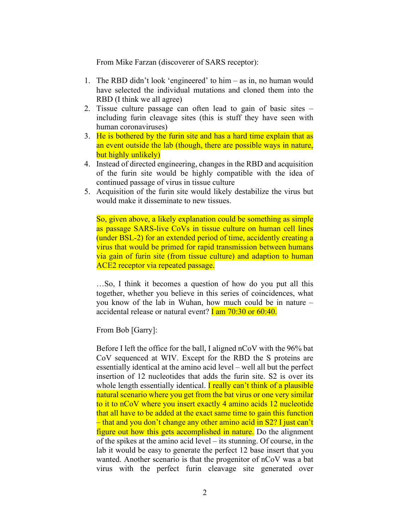From Mike Farzan (discoverer of SARS receptor):

- 1. The RBD didn't look 'engineered' to him as in, no human would have selected the individual mutations and cloned them into the RBD (I think we all agree)
- 2. Tissue culture passage can often lead to gain of basic sites including furin cleavage sites (this is stuff they have seen with human coronaviruses)
- 3. He is bothered by the furin site and has a hard time explain that as an event outside the lab (though, there are possible ways in nature, but highly unlikely)
- 4. Instead of directed engineering, changes in the RBD and acquisition of the furin site would be highly compatible with the idea of continued passage of virus in tissue culture
- 5. Acquisition of the furin site would likely destabilize the virus but would make it disseminate to new tissues.

So, given above, a likely explanation could be something as simple as passage SARS-live CoVs in tissue culture on human cell lines (under BSL-2) for an extended period of time, accidently creating a virus that would be primed for rapid transmission between humans via gain of furin site (from tissue culture) and adaption to human ACE2 receptor via repeated passage.

…So, I think it becomes a question of how do you put all this together, whether you believe in this series of coincidences, what you know of the lab in Wuhan, how much could be in nature – accidental release or natural event? **I** am  $70:30$  or  $60:40$ .

From Bob [Garry]:

Before I left the office for the ball, I aligned nCoV with the 96% bat CoV sequenced at WIV. Except for the RBD the S proteins are essentially identical at the amino acid level – well all but the perfect insertion of 12 nucleotides that adds the furin site. S2 is over its whole length essentially identical. **I really can't think of a plausible** natural scenario where you get from the bat virus or one very similar to it to nCoV where you insert exactly 4 amino acids 12 nucleotide that all have to be added at the exact same time to gain this function – that and you don't change any other amino acid in S2? I just can't figure out how this gets accomplished in nature. Do the alignment of the spikes at the amino acid level – its stunning. Of course, in the lab it would be easy to generate the perfect 12 base insert that you wanted. Another scenario is that the progenitor of nCoV was a bat virus with the perfect furin cleavage site generated over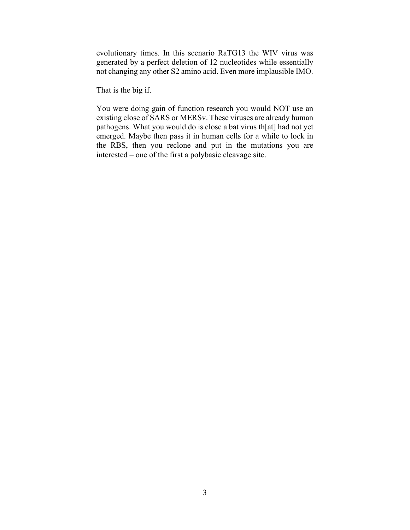evolutionary times. In this scenario RaTG13 the WIV virus was generated by a perfect deletion of 12 nucleotides while essentially not changing any other S2 amino acid. Even more implausible IMO.

That is the big if.

You were doing gain of function research you would NOT use an existing close of SARS or MERSv. These viruses are already human pathogens. What you would do is close a bat virus th[at] had not yet emerged. Maybe then pass it in human cells for a while to lock in the RBS, then you reclone and put in the mutations you are interested – one of the first a polybasic cleavage site.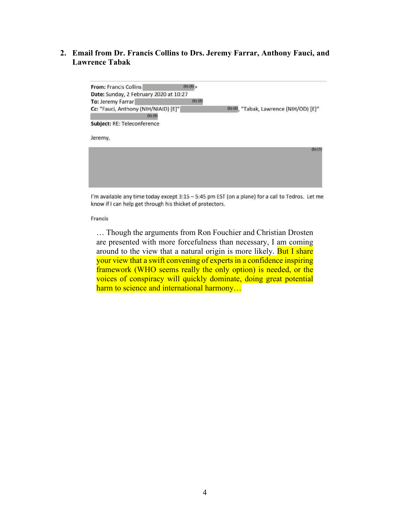#### **2. Email from Dr. Francis Collins to Drs. Jeremy Farrar, Anthony Fauci, and Lawrence Tabak**



I'm available any time today except 3:15 - 5:45 pm EST (on a plane) for a call to Tedros. Let me know if I can help get through his thicket of protectors.

Francis

… Though the arguments from Ron Fouchier and Christian Drosten are presented with more forcefulness than necessary, I am coming around to the view that a natural origin is more likely. But I share your view that a swift convening of experts in a confidence inspiring framework (WHO seems really the only option) is needed, or the voices of conspiracy will quickly dominate, doing great potential harm to science and international harmony...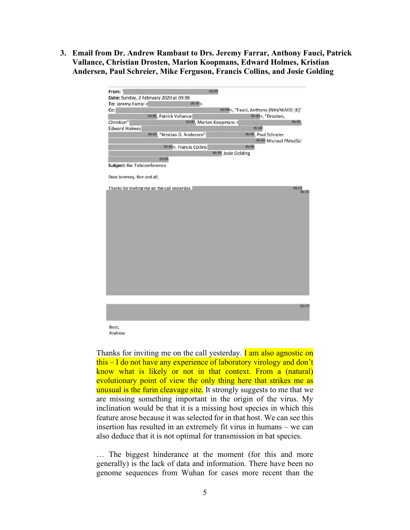**3. Email from Dr. Andrew Rambaut to Drs. Jeremy Farrar, Anthony Fauci, Patrick Vallance, Christian Drosten, Marion Koopmans, Edward Holmes, Kristian Andersen, Paul Schreier, Mike Ferguson, Francis Collins, and Josie Golding**

| To: Jeremy Farrar           | Date: Sunday, 2 February 2020 at 09:38<br>(b) (6) |                            |                                             |                            |
|-----------------------------|---------------------------------------------------|----------------------------|---------------------------------------------|----------------------------|
| $Cc$ :                      |                                                   |                            | (b) (6) >, "Fauci, Anthony (NIH/NIAID) [E]" |                            |
|                             | (b) (6), Patrick Vallance                         |                            | (b) (б)>, "Drosten,                         |                            |
| Christian"                  |                                                   | (b) (6), Marion Koopmans < |                                             | (b) (6)                    |
| <b>Edward Holmes</b>        |                                                   |                            | $(b)$ $(6)$                                 |                            |
|                             | (b) (6), "Kristian G. Andersen"                   |                            | (b) (6), Paul Schreier                      |                            |
|                             |                                                   |                            | (b) (6) Michael FMedSci                     |                            |
|                             | (b) (6) >, Francis Collins                        | $(b)$ $(6)$                |                                             |                            |
|                             |                                                   | (b) (6) Josie Golding      |                                             |                            |
|                             | $(b)$ $(6)$                                       |                            |                                             |                            |
| Subject: Re: Teleconference |                                                   |                            |                                             |                            |
|                             |                                                   |                            |                                             |                            |
| Dear Jeremey, Ron and all,  |                                                   |                            |                                             |                            |
|                             |                                                   |                            |                                             |                            |
|                             | Thanks for inviting me on the call yesterday.     |                            |                                             | $(b)$ $(5)$<br>$(b)$ $(5)$ |
|                             |                                                   |                            |                                             |                            |
|                             |                                                   |                            |                                             |                            |
|                             |                                                   |                            |                                             |                            |
|                             |                                                   |                            |                                             |                            |
|                             |                                                   |                            |                                             |                            |
|                             |                                                   |                            |                                             |                            |
|                             |                                                   |                            |                                             |                            |
|                             |                                                   |                            |                                             |                            |
|                             |                                                   |                            |                                             |                            |
|                             |                                                   |                            |                                             |                            |
|                             |                                                   |                            |                                             |                            |
|                             |                                                   |                            |                                             |                            |
|                             |                                                   |                            |                                             |                            |
|                             |                                                   |                            |                                             |                            |
|                             |                                                   |                            |                                             |                            |
|                             |                                                   |                            |                                             |                            |
|                             |                                                   |                            |                                             |                            |
|                             |                                                   |                            |                                             |                            |
|                             |                                                   |                            |                                             |                            |
|                             |                                                   |                            |                                             |                            |
|                             |                                                   |                            |                                             |                            |
|                             |                                                   |                            |                                             |                            |
|                             |                                                   |                            |                                             |                            |
|                             |                                                   |                            |                                             |                            |
|                             |                                                   |                            |                                             | $(b)$ $(5)$                |
|                             |                                                   |                            |                                             |                            |
|                             |                                                   |                            |                                             |                            |
|                             |                                                   |                            |                                             |                            |
| Best,                       |                                                   |                            |                                             |                            |
| Andrew                      |                                                   |                            |                                             |                            |

Thanks for inviting me on the call yesterday. **I am also agnostic on** this – I do not have any experience of laboratory virology and don't know what is likely or not in that context. From a (natural) evolutionary point of view the only thing here that strikes me as unusual is the furin cleavage site. It strongly suggests to me that we are missing something important in the origin of the virus. My inclination would be that it is a missing host species in which this feature arose because it was selected for in that host. We can see this insertion has resulted in an extremely fit virus in humans – we can also deduce that it is not optimal for transmission in bat species.

… The biggest hinderance at the moment (for this and more generally) is the lack of data and information. There have been no genome sequences from Wuhan for cases more recent than the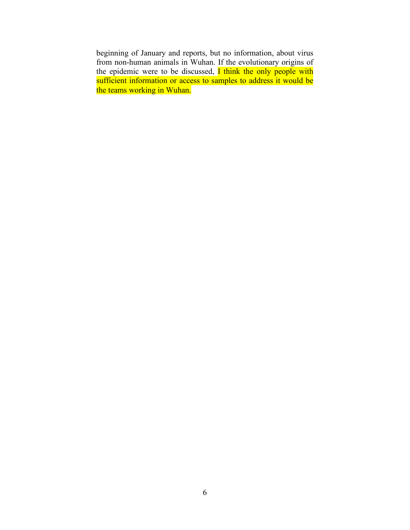beginning of January and reports, but no information, about virus from non-human animals in Wuhan. If the evolutionary origins of the epidemic were to be discussed, I think the only people with sufficient information or access to samples to address it would be the teams working in Wuhan.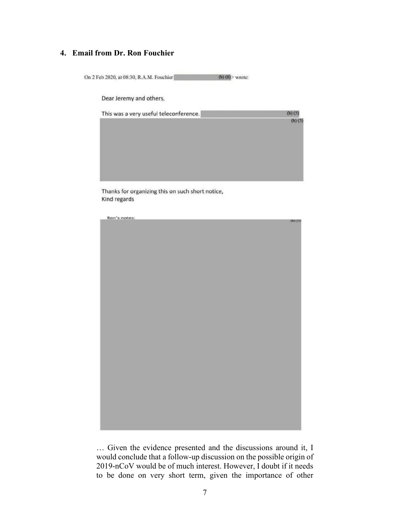# **4. Email from Dr. Ron Fouchier**

On 2 Feb 2020, at 08:30, R.A.M. Fouchier (b)  $(6)$  > wrote:

Dear Jeremy and others,

| $(b)$ $(5)$ |
|-------------|
| $(b)$ $(5)$ |
|             |
|             |
|             |
|             |
|             |
|             |

Thanks for organizing this on such short notice, Kind regards



… Given the evidence presented and the discussions around it, I would conclude that a follow-up discussion on the possible origin of 2019-nCoV would be of much interest. However, I doubt if it needs to be done on very short term, given the importance of other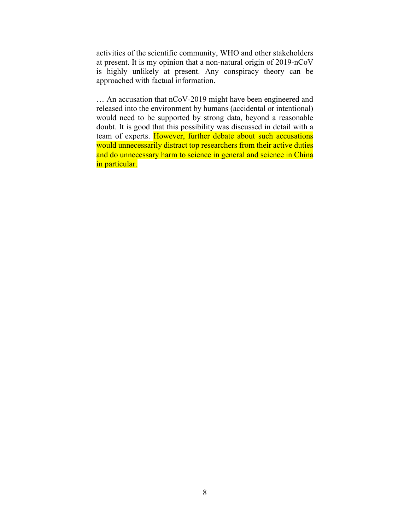activities of the scientific community, WHO and other stakeholders at present. It is my opinion that a non-natural origin of 2019-nCoV is highly unlikely at present. Any conspiracy theory can be approached with factual information.

… An accusation that nCoV-2019 might have been engineered and released into the environment by humans (accidental or intentional) would need to be supported by strong data, beyond a reasonable doubt. It is good that this possibility was discussed in detail with a team of experts. However, further debate about such accusations would unnecessarily distract top researchers from their active duties and do unnecessary harm to science in general and science in China in particular.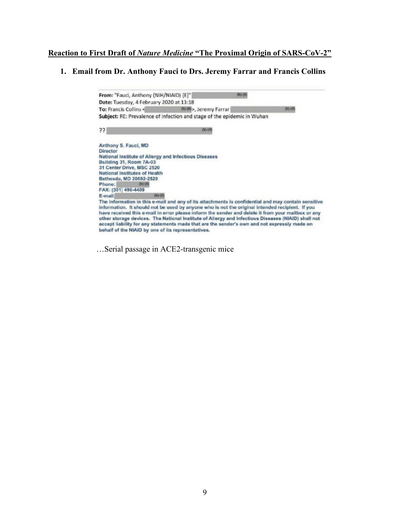#### **Reaction to First Draft of** *Nature Medicine* **"The Proximal Origin of SARS-CoV-2"**

#### **1. Email from Dr. Anthony Fauci to Drs. Jeremy Farrar and Francis Collins**

From: "Fauci, Anthony (NIH/NIAID) [E]"  $(b)$  $(b)$ Date: Tuesday, 4 February 2020 at 13:18 (b) (6) >, Jeremy Farrar To: Francis Collins  $(b)$  $(b)$ Subject: RE: Prevalence of infection and stage of the epidemic in Wuhan  $??$  $(b) (4)$ Anthony S. Fauci, MD Director National Institute of Allergy and Infectious Diseases Building 31, Room 7A-03 31 Center Drive, MSC 2520 National Institutes of Health Bethesda, MD 20892-2520 Phone:  $(b) (6)$ FAX: (301) 496-4409 E-mail:  $(b)$  $(b)$ The information in this e-mail and any of its attachments is confidential and may contain sensitive information. It should not be used by anyone who is not the original intended recipient. If you have received this e-mail in error please inform the sender and delete it from your mailbox or any other storage devices. The National Institute of Allergy and Infectious Diseases (NIAID) shall not accept liability for any statements made that are the sender's own and not expressly made on behalf of the NIAID by one of its representatives.

…Serial passage in ACE2-transgenic mice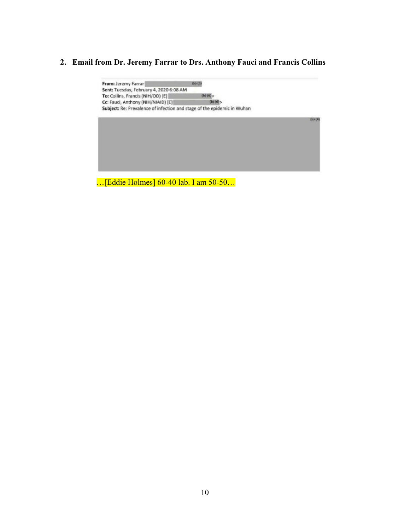# **2. Email from Dr. Jeremy Farrar to Drs. Anthony Fauci and Francis Collins**



…[Eddie Holmes] 60-40 lab. I am 50-50…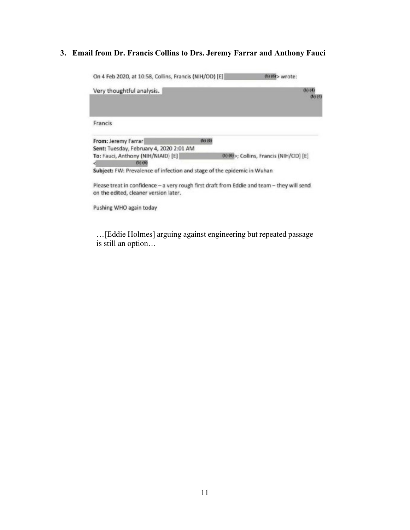# **3. Email from Dr. Francis Collins to Drs. Jeremy Farrar and Anthony Fauci**

On 4 Feb 2020, at 10:58, Collins, Francis (NIH/OD) [E] (b)(6) > wrote: Very thoughtful analysis.  $(b)$  $(4)$  $\omega(0)$ Francis From: Jeremy Farrar  $(b)$  (6) Sent: Tuesday, February 4, 2020 2:01 AM To: Fauci, Anthony (NIH/NIAID) [E] (b) (6) >; Collins, Francis (NIH/OD) [E]  $(b) (6)$ Subject: FW: Prevalence of infection and stage of the epidemic in Wuhan Please treat in confidence - a very rough first draft from Eddie and team - they will send on the edited, cleaner version later. Pushing WHO again today

…[Eddie Holmes] arguing against engineering but repeated passage is still an option…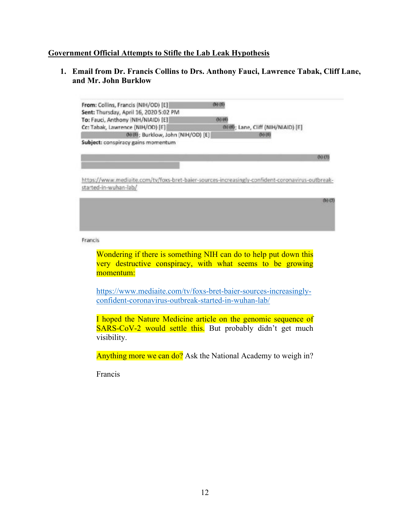#### **Government Official Attempts to Stifle the Lab Leak Hypothesis**

**1. Email from Dr. Francis Collins to Drs. Anthony Fauci, Lawrence Tabak, Cliff Lane, and Mr. John Burklow**



Francis

Wondering if there is something NIH can do to help put down this very destructive conspiracy, with what seems to be growing momentum:

[https://www.mediaite.com/tv/foxs-bret-baier-sources-increasingly](https://www.mediaite.com/tv/foxs-bret-baier-sources-increasingly-confident-coronavirus-outbreak-started-in-wuhan-lab/)[confident-coronavirus-outbreak-started-in-wuhan-lab/](https://www.mediaite.com/tv/foxs-bret-baier-sources-increasingly-confident-coronavirus-outbreak-started-in-wuhan-lab/)

I hoped the Nature Medicine article on the genomic sequence of SARS-CoV-2 would settle this. But probably didn't get much visibility.

Anything more we can do? Ask the National Academy to weigh in?

Francis